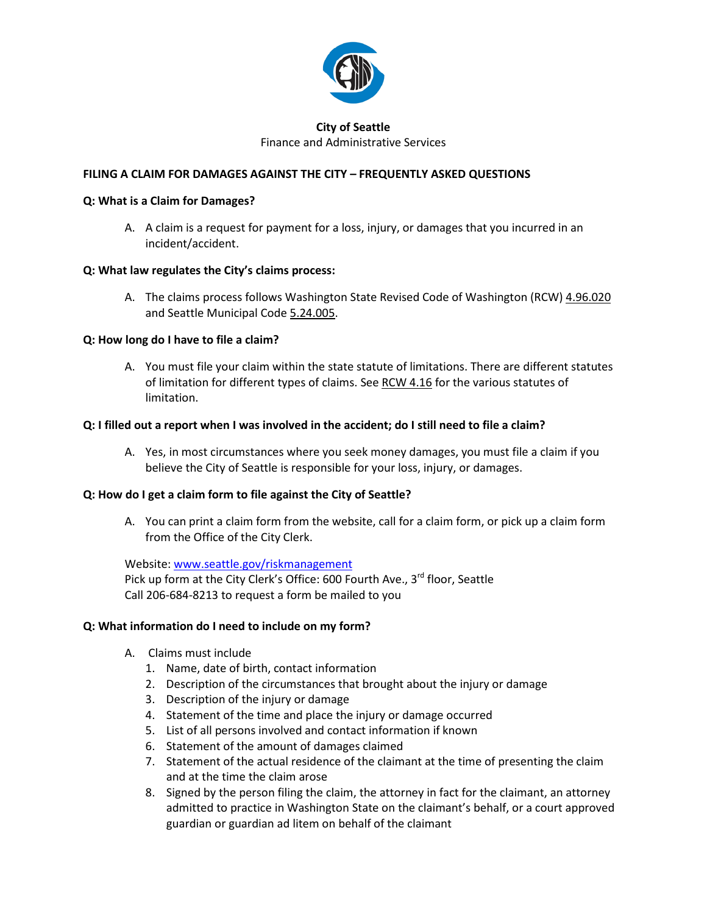

#### **City of Seattle** Finance and Administrative Services

# **FILING A CLAIM FOR DAMAGES AGAINST THE CITY – FREQUENTLY ASKED QUESTIONS**

#### **Q: What is a Claim for Damages?**

A. A claim is a request for payment for a loss, injury, or damages that you incurred in an incident/accident.

# **Q: What law regulates the City's claims process:**

A. The claims process follows Washington State Revised Code of Washington (RCW) 4.96.020 and Seattle Municipal Code 5.24.005.

# **Q: How long do I have to file a claim?**

A. You must file your claim within the state statute of limitations. There are different statutes of limitation for different types of claims. See RCW 4.16 for the various statutes of limitation.

# **Q: I filled out a report when I was involved in the accident; do I still need to file a claim?**

A. Yes, in most circumstances where you seek money damages, you must file a claim if you believe the City of Seattle is responsible for your loss, injury, or damages.

# **Q: How do I get a claim form to file against the City of Seattle?**

A. You can print a claim form from the website, call for a claim form, or pick up a claim form from the Office of the City Clerk.

Website: [www.seattle.gov/riskmanagement](http://www.seattle.gov/riskmanagement) Pick up form at the City Clerk's Office: 600 Fourth Ave.,  $3^{rd}$  floor, Seattle Call 206-684-8213 to request a form be mailed to you

#### **Q: What information do I need to include on my form?**

- A. Claims must include
	- 1. Name, date of birth, contact information
	- 2. Description of the circumstances that brought about the injury or damage
	- 3. Description of the injury or damage
	- 4. Statement of the time and place the injury or damage occurred
	- 5. List of all persons involved and contact information if known
	- 6. Statement of the amount of damages claimed
	- 7. Statement of the actual residence of the claimant at the time of presenting the claim and at the time the claim arose
	- 8. Signed by the person filing the claim, the attorney in fact for the claimant, an attorney admitted to practice in Washington State on the claimant's behalf, or a court approved guardian or guardian ad litem on behalf of the claimant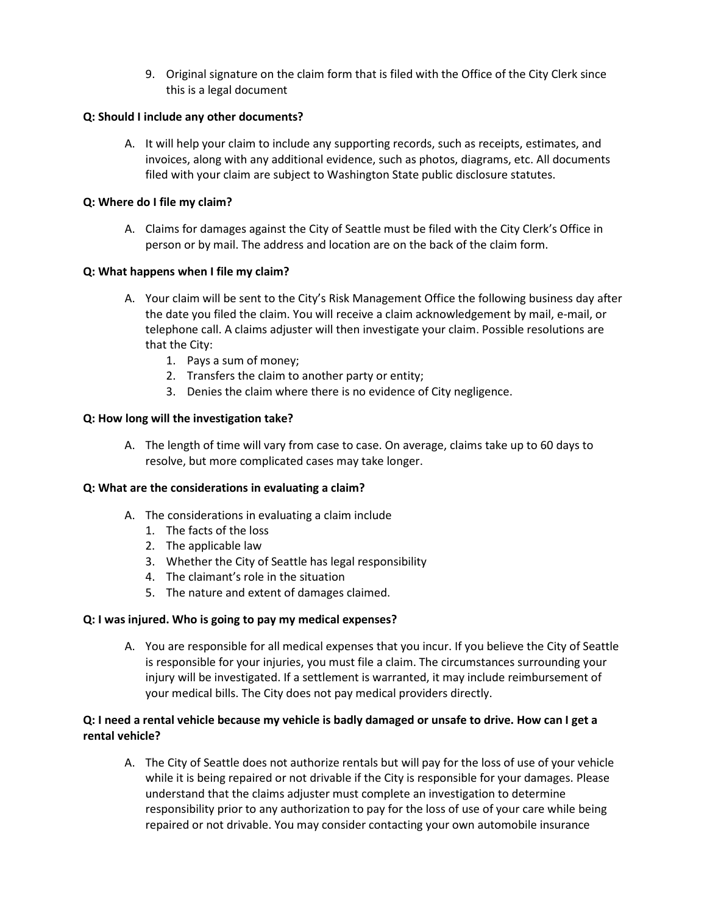9. Original signature on the claim form that is filed with the Office of the City Clerk since this is a legal document

#### **Q: Should I include any other documents?**

A. It will help your claim to include any supporting records, such as receipts, estimates, and invoices, along with any additional evidence, such as photos, diagrams, etc. All documents filed with your claim are subject to Washington State public disclosure statutes.

# **Q: Where do I file my claim?**

A. Claims for damages against the City of Seattle must be filed with the City Clerk's Office in person or by mail. The address and location are on the back of the claim form.

# **Q: What happens when I file my claim?**

- A. Your claim will be sent to the City's Risk Management Office the following business day after the date you filed the claim. You will receive a claim acknowledgement by mail, e-mail, or telephone call. A claims adjuster will then investigate your claim. Possible resolutions are that the City:
	- 1. Pays a sum of money;
	- 2. Transfers the claim to another party or entity;
	- 3. Denies the claim where there is no evidence of City negligence.

# **Q: How long will the investigation take?**

A. The length of time will vary from case to case. On average, claims take up to 60 days to resolve, but more complicated cases may take longer.

#### **Q: What are the considerations in evaluating a claim?**

- A. The considerations in evaluating a claim include
	- 1. The facts of the loss
	- 2. The applicable law
	- 3. Whether the City of Seattle has legal responsibility
	- 4. The claimant's role in the situation
	- 5. The nature and extent of damages claimed.

#### **Q: I was injured. Who is going to pay my medical expenses?**

A. You are responsible for all medical expenses that you incur. If you believe the City of Seattle is responsible for your injuries, you must file a claim. The circumstances surrounding your injury will be investigated. If a settlement is warranted, it may include reimbursement of your medical bills. The City does not pay medical providers directly.

# **Q: I need a rental vehicle because my vehicle is badly damaged or unsafe to drive. How can I get a rental vehicle?**

A. The City of Seattle does not authorize rentals but will pay for the loss of use of your vehicle while it is being repaired or not drivable if the City is responsible for your damages. Please understand that the claims adjuster must complete an investigation to determine responsibility prior to any authorization to pay for the loss of use of your care while being repaired or not drivable. You may consider contacting your own automobile insurance